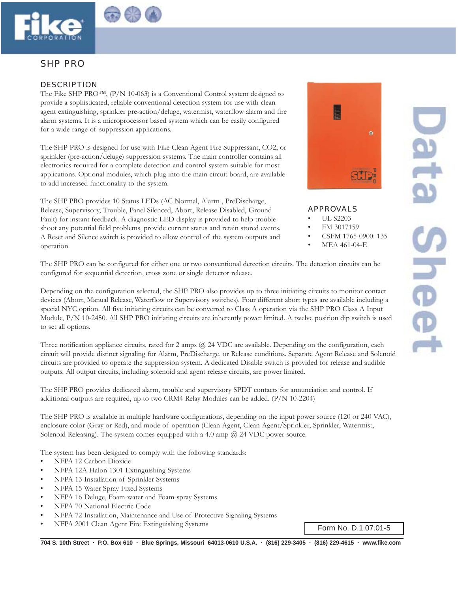



# SHP PRO

## DESCRIPTION

The Fike SHP PRO™, (P/N 10-063) is a Conventional Control system designed to provide a sophisticated, reliable conventional detection system for use with clean agent extinguishing, sprinkler pre-action/deluge, watermist, waterflow alarm and fire alarm systems. It is a microprocessor based system which can be easily configured for a wide range of suppression applications.

The SHP PRO is designed for use with Fike Clean Agent Fire Suppressant, CO2, or sprinkler (pre-action/deluge) suppression systems. The main controller contains all electronics required for a complete detection and control system suitable for most applications. Optional modules, which plug into the main circuit board, are available to add increased functionality to the system.

The SHP PRO provides 10 Status LEDs (AC Normal, Alarm , PreDischarge, Release, Supervisory, Trouble, Panel Silenced, Abort, Release Disabled, Ground Fault) for instant feedback. A diagnostic LED display is provided to help trouble shoot any potential field problems, provide current status and retain stored events. A Reset and Silence switch is provided to allow control of the system outputs and operation.

The SHP PRO can be configured for either one or two conventional detection circuits. The detection circuits can be configured for sequential detection, cross zone or single detector release.

Depending on the configuration selected, the SHP PRO also provides up to three initiating circuits to monitor contact devices (Abort, Manual Release, Waterflow or Supervisory switches). Four different abort types are available including a special NYC option. All five initiating circuits can be converted to Class A operation via the SHP PRO Class A Input Module, P/N 10-2450. All SHP PRO initiating circuits are inherently power limited. A twelve position dip switch is used to set all options.

Three notification appliance circuits, rated for 2 amps @ 24 VDC are available. Depending on the configuration, each circuit will provide distinct signaling for Alarm, PreDischarge, or Release conditions. Separate Agent Release and Solenoid circuits are provided to operate the suppression system. A dedicated Disable switch is provided for release and audible outputs. All output circuits, including solenoid and agent release circuits, are power limited.

The SHP PRO provides dedicated alarm, trouble and supervisory SPDT contacts for annunciation and control. If additional outputs are required, up to two CRM4 Relay Modules can be added. (P/N 10-2204)

The SHP PRO is available in multiple hardware configurations, depending on the input power source (120 or 240 VAC), enclosure color (Gray or Red), and mode of operation (Clean Agent, Clean Agent/Sprinkler, Sprinkler, Watermist, Solenoid Releasing). The system comes equipped with a 4.0 amp @ 24 VDC power source.

The system has been designed to comply with the following standards:

- NFPA 12 Carbon Dioxide
- NFPA 12A Halon 1301 Extinguishing Systems
- NFPA 13 Installation of Sprinkler Systems
- NFPA 15 Water Spray Fixed Systems
- NFPA 16 Deluge, Foam-water and Foam-spray Systems
- NFPA 70 National Electric Code
- NFPA 72 Installation, Maintenance and Use of Protective Signaling Systems
- NFPA 2001 Clean Agent Fire Extinguishing Systems Form No. D.1.07.01-5



**704 S. 10th Street · P.O. Box 610 · Blue Springs, Missouri 64013-0610 U.S.A. · (816) 229-3405 · (816) 229-4615 · www.fike.com**



APPROVALS

- UL S2203
- FM 3017159
- CSFM 1765-0900: 135
	- MEA 461-04-E